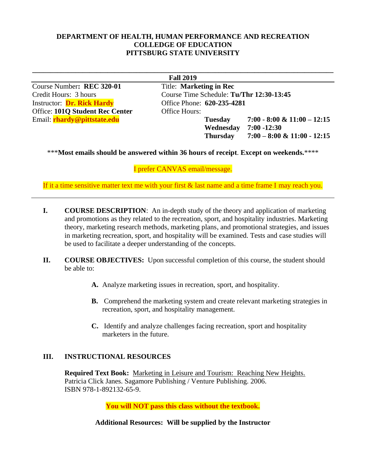## **DEPARTMENT OF HEALTH, HUMAN PERFORMANCE AND RECREATION COLLEDGE OF EDUCATION PITTSBURG STATE UNIVERSITY**

Course Number**: REC 320-01** Title: **Marketing in Rec** Instructor: **Dr. Rick Hardy Office Phone: 620-235-4281** Office: **101Q Student Rec Center** Office Hours:

**\_\_\_\_\_\_\_\_\_\_\_\_\_\_\_\_\_\_\_\_\_\_\_\_\_\_\_\_\_\_\_\_\_\_\_\_\_\_\_\_\_\_\_\_\_\_\_\_\_\_\_\_\_\_\_\_\_\_\_\_\_\_\_\_\_\_\_\_\_\_\_\_\_\_\_\_\_\_\_\_\_\_\_\_ Fall 2019** Credit Hours: 3 hours Course Time Schedule: **Tu/Thr 12:30-13:45** Email: **rhardy@pittstate.edu Tuesday 7:00 - 8:00 & 11:00 – 12:15 Wednesday 7:00 -12:30 Thursday 7:00 – 8:00 & 11:00 - 12:15**

\*\*\***Most emails should be answered within 36 hours of receipt**. **Except on weekends.**\*\*\*\*

I prefer CANVAS email/message.

If it a time sensitive matter text me with your first & last name and a time frame I may reach you.

- **I. COURSE DESCRIPTION**: An in-depth study of the theory and application of marketing and promotions as they related to the recreation, sport, and hospitality industries. Marketing theory, marketing research methods, marketing plans, and promotional strategies, and issues in marketing recreation, sport, and hospitality will be examined. Tests and case studies will be used to facilitate a deeper understanding of the concepts.
- **II. COURSE OBJECTIVES:** Upon successful completion of this course, the student should be able to:
	- **A.** Analyze marketing issues in recreation, sport, and hospitality.
	- **B.** Comprehend the marketing system and create relevant marketing strategies in recreation, sport, and hospitality management.
	- **C.** Identify and analyze challenges facing recreation, sport and hospitality marketers in the future.

### **III. INSTRUCTIONAL RESOURCES**

**Required Text Book:** Marketing in Leisure and Tourism: Reaching New Heights. Patricia Click Janes. Sagamore Publishing / Venture Publishing. 2006. ISBN 978-1-892132-65-9.

**You will NOT pass this class without the textbook.**

**Additional Resources: Will be supplied by the Instructor**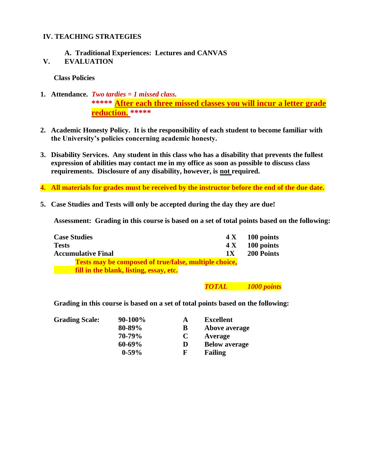## **IV. TEACHING STRATEGIES**

# **A. Traditional Experiences: Lectures and CANVAS**

**V. EVALUATION**

**Class Policies**

# **1. Attendance.** *Two tardies = 1 missed class.* **\*\*\*\*\* After each three missed classes you will incur a letter grade reduction. \*\*\*\*\***

- **2. Academic Honesty Policy. It is the responsibility of each student to become familiar with the University's policies concerning academic honesty.**
- **3. Disability Services. Any student in this class who has a disability that prevents the fullest expression of abilities may contact me in my office as soon as possible to discuss class requirements. Disclosure of any disability, however, is not required.**
- **4. All materials for grades must be received by the instructor before the end of the due date.**
- **5. Case Studies and Tests will only be accepted during the day they are due!**

**Assessment: Grading in this course is based on a set of total points based on the following:**

| <b>Case Studies</b>                                          | 4 X 100 points    |
|--------------------------------------------------------------|-------------------|
| <b>Tests</b>                                                 | 100 points<br>4 X |
| <b>Accumulative Final</b><br>1X                              | <b>200 Points</b> |
| <b>Tests may be composed of true/false, multiple choice,</b> |                   |
| fill in the blank, listing, essay, etc.                      |                   |

### *TOTAL 1000 points*

**Grading in this course is based on a set of total points based on the following:**

| <b>Grading Scale:</b> | $90-100\%$  | A | <b>Excellent</b>     |
|-----------------------|-------------|---|----------------------|
|                       | 80-89%      | B | Above average        |
|                       | 70-79%      | C | Average              |
|                       | $60 - 69\%$ | D | <b>Below average</b> |
|                       | $0-59%$     | F | <b>Failing</b>       |